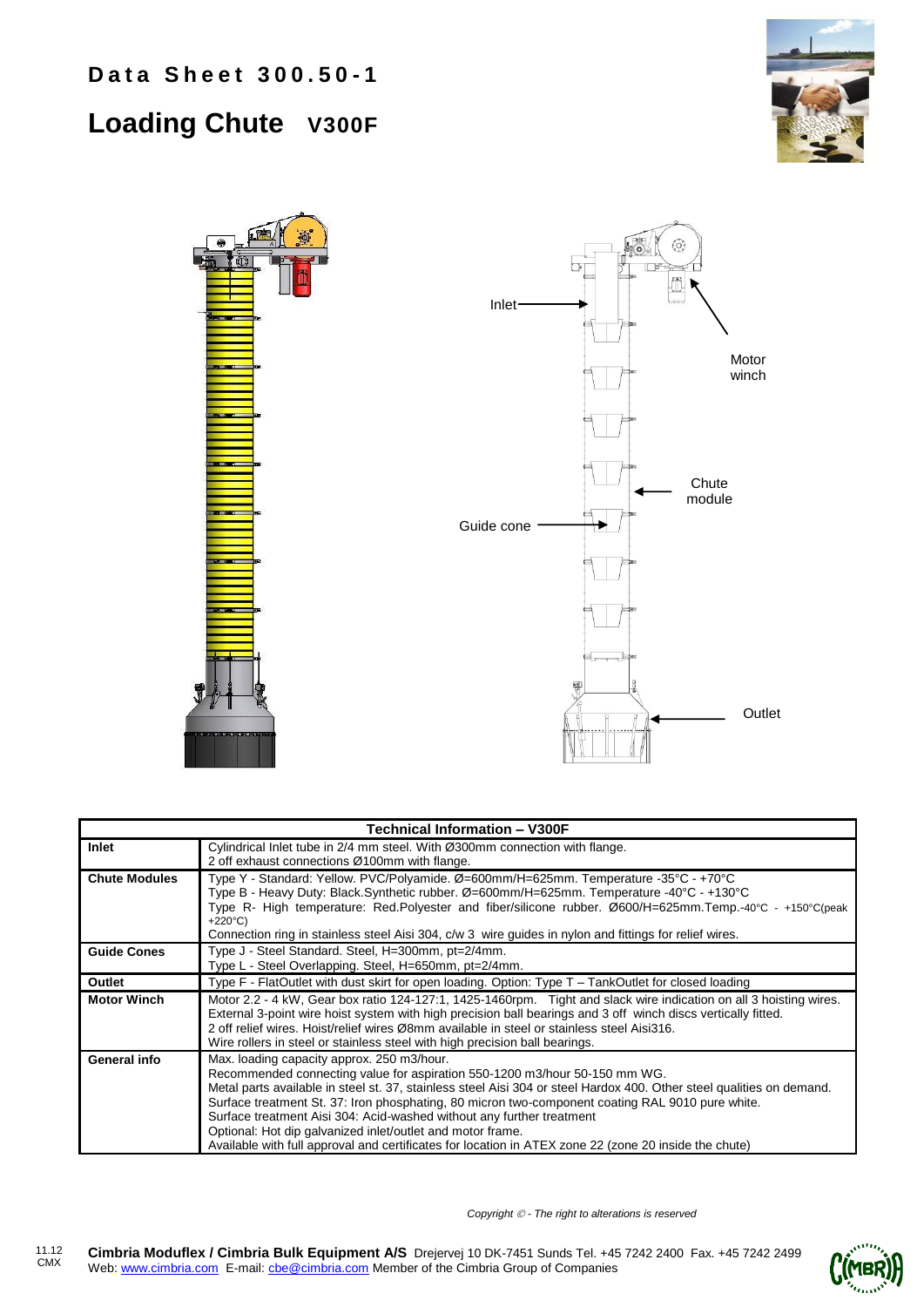## **Loading Chute V300F**





| <b>Technical Information - V300F</b> |                                                                                                                                                                                                                                                                                                                                                                                                                                                                                                                                                                                                       |  |  |  |
|--------------------------------------|-------------------------------------------------------------------------------------------------------------------------------------------------------------------------------------------------------------------------------------------------------------------------------------------------------------------------------------------------------------------------------------------------------------------------------------------------------------------------------------------------------------------------------------------------------------------------------------------------------|--|--|--|
| Inlet                                | Cylindrical Inlet tube in 2/4 mm steel. With Ø300mm connection with flange.<br>2 off exhaust connections Ø100mm with flange.                                                                                                                                                                                                                                                                                                                                                                                                                                                                          |  |  |  |
| <b>Chute Modules</b>                 | Type Y - Standard: Yellow. PVC/Polyamide. Ø=600mm/H=625mm. Temperature -35°C - +70°C<br>Type B - Heavy Duty: Black.Synthetic rubber. Ø=600mm/H=625mm. Temperature -40°C - +130°C<br>Type R- High temperature: Red.Polyester and fiber/silicone rubber. Ø600/H=625mm.Temp.-40°C - +150°C(peak<br>+220 $^{\circ}$ C)<br>Connection ring in stainless steel Aisi 304, c/w 3 wire guides in nylon and fittings for relief wires.                                                                                                                                                                          |  |  |  |
| <b>Guide Cones</b>                   | Type J - Steel Standard. Steel, H=300mm, pt=2/4mm.<br>Type L - Steel Overlapping. Steel, H=650mm, pt=2/4mm.                                                                                                                                                                                                                                                                                                                                                                                                                                                                                           |  |  |  |
| Outlet                               | Type F - FlatOutlet with dust skirt for open loading. Option: Type T - TankOutlet for closed loading                                                                                                                                                                                                                                                                                                                                                                                                                                                                                                  |  |  |  |
| <b>Motor Winch</b>                   | Motor 2.2 - 4 kW, Gear box ratio 124-127:1, 1425-1460rpm. Tight and slack wire indication on all 3 hoisting wires.<br>External 3-point wire hoist system with high precision ball bearings and 3 off winch discs vertically fitted.<br>2 off relief wires. Hoist/relief wires Ø8mm available in steel or stainless steel Aisi316.<br>Wire rollers in steel or stainless steel with high precision ball bearings.                                                                                                                                                                                      |  |  |  |
| General info                         | Max. loading capacity approx. 250 m3/hour.<br>Recommended connecting value for aspiration 550-1200 m3/hour 50-150 mm WG.<br>Metal parts available in steel st. 37, stainless steel Aisi 304 or steel Hardox 400. Other steel qualities on demand.<br>Surface treatment St. 37: Iron phosphating, 80 micron two-component coating RAL 9010 pure white.<br>Surface treatment Aisi 304: Acid-washed without any further treatment<br>Optional: Hot dip galvanized inlet/outlet and motor frame.<br>Available with full approval and certificates for location in ATEX zone 22 (zone 20 inside the chute) |  |  |  |

*Copyright - The right to alterations is reserved*